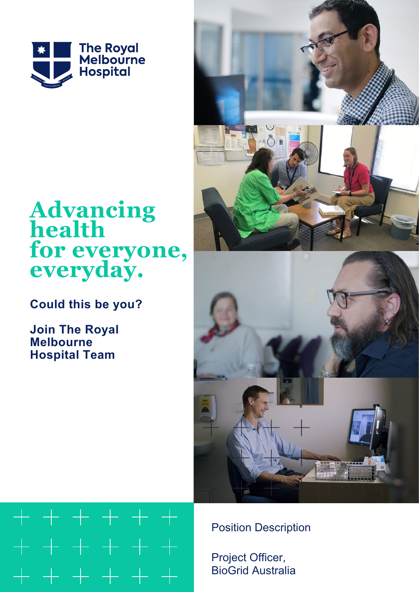

# **Advancing health for everyone, everyday.**

**Could this be you?**

**Join The Royal Melbourne Hospital Team**





Position Description

Project Officer, BioGrid Australia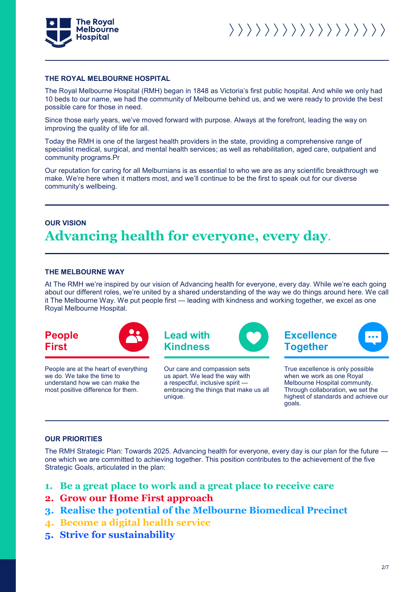

#### **THE ROYAL MELBOURNE HOSPITAL**

The Royal Melbourne Hospital (RMH) began in 1848 as Victoria's first public hospital. And while we only had 10 beds to our name, we had the community of Melbourne behind us, and we were ready to provide the best possible care for those in need.

Since those early years, we've moved forward with purpose. Always at the forefront, leading the way on improving the quality of life for all.

Today the RMH is one of the largest health providers in the state, providing a comprehensive range of specialist medical, surgical, and mental health services; as well as rehabilitation, aged care, outpatient and community programs.Pr

Our reputation for caring for all Melburnians is as essential to who we are as any scientific breakthrough we make. We're here when it matters most, and we'll continue to be the first to speak out for our diverse community's wellbeing.

### **OUR VISION Advancing health for everyone, every day**.

#### **THE MELBOURNE WAY**

At The RMH we're inspired by our vision of Advancing health for everyone, every day. While we're each going about our different roles, we're united by a shared understanding of the way we do things around here. We call it The Melbourne Way. We put people first — leading with kindness and working together, we excel as one Royal Melbourne Hospital.





People are at the heart of everything we do. We take the time to understand how we can make the most positive difference for them.



Our care and compassion sets us apart. We lead the way with a respectful, inclusive spirit embracing the things that make us all unique.



True excellence is only possible when we work as one Royal Melbourne Hospital community. Through collaboration, we set the highest of standards and achieve our goals.

#### **OUR PRIORITIES**

The RMH Strategic Plan: Towards 2025. Advancing health for everyone, every day is our plan for the future one which we are committed to achieving together. This position contributes to the achievement of the five Strategic Goals, articulated in the plan:

- **1. Be a great place to work and a great place to receive care**
- **2. Grow our Home First approach**
- **3. Realise the potential of the Melbourne Biomedical Precinct**
- **4. Become a digital health service**
- **5. Strive for sustainability**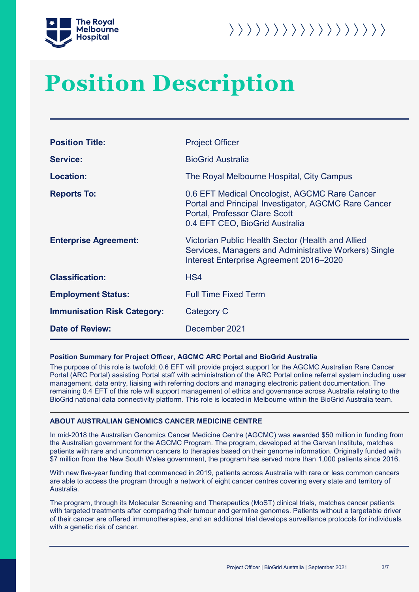



## **Position Description**

| <b>Position Title:</b>             | <b>Project Officer</b>                                                                                                                                                          |  |  |
|------------------------------------|---------------------------------------------------------------------------------------------------------------------------------------------------------------------------------|--|--|
| <b>Service:</b>                    | <b>BioGrid Australia</b>                                                                                                                                                        |  |  |
| <b>Location:</b>                   | The Royal Melbourne Hospital, City Campus                                                                                                                                       |  |  |
| <b>Reports To:</b>                 | 0.6 EFT Medical Oncologist, AGCMC Rare Cancer<br>Portal and Principal Investigator, AGCMC Rare Cancer<br><b>Portal, Professor Clare Scott</b><br>0.4 EFT CEO, BioGrid Australia |  |  |
| <b>Enterprise Agreement:</b>       | Victorian Public Health Sector (Health and Allied<br>Services, Managers and Administrative Workers) Single<br>Interest Enterprise Agreement 2016-2020                           |  |  |
| <b>Classification:</b>             | HS4                                                                                                                                                                             |  |  |
| <b>Employment Status:</b>          | <b>Full Time Fixed Term</b>                                                                                                                                                     |  |  |
| <b>Immunisation Risk Category:</b> | Category C                                                                                                                                                                      |  |  |
| <b>Date of Review:</b>             | December 2021                                                                                                                                                                   |  |  |

#### **Position Summary for Project Officer, AGCMC ARC Portal and BioGrid Australia**

The purpose of this role is twofold; 0.6 EFT will provide project support for the AGCMC Australian Rare Cancer Portal (ARC Portal) assisting Portal staff with administration of the ARC Portal online referral system including user management, data entry, liaising with referring doctors and managing electronic patient documentation. The remaining 0.4 EFT of this role will support management of ethics and governance across Australia relating to the BioGrid national data connectivity platform. This role is located in Melbourne within the BioGrid Australia team.

#### **ABOUT AUSTRALIAN GENOMICS CANCER MEDICINE CENTRE**

In mid-2018 the Australian Genomics Cancer Medicine Centre (AGCMC) was awarded \$50 million in funding from the Australian government for the AGCMC Program. The program, developed at the Garvan Institute, matches patients with rare and uncommon cancers to therapies based on their genome information. Originally funded with \$7 million from the New South Wales government, the program has served more than 1,000 patients since 2016.

With new five-year funding that commenced in 2019, patients across Australia with rare or less common cancers are able to access the program through a network of eight cancer centres covering every state and territory of Australia.

The program, through its Molecular Screening and Therapeutics (MoST) clinical trials, matches cancer patients with targeted treatments after comparing their tumour and germline genomes. Patients without a targetable driver of their cancer are offered immunotherapies, and an additional trial develops surveillance protocols for individuals with a genetic risk of cancer.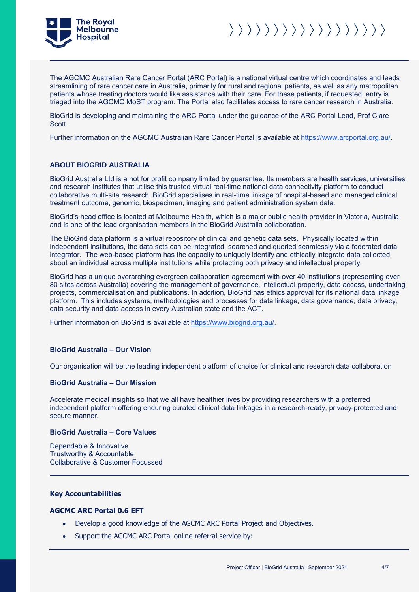

The AGCMC Australian Rare Cancer Portal (ARC Portal) is a national virtual centre which coordinates and leads streamlining of rare cancer care in Australia, primarily for rural and regional patients, as well as any metropolitan patients whose treating doctors would like assistance with their care. For these patients, if requested, entry is triaged into the AGCMC MoST program. The Portal also facilitates access to rare cancer research in Australia.

BioGrid is developing and maintaining the ARC Portal under the guidance of the ARC Portal Lead, Prof Clare Scott.

Further information on the AGCMC Australian Rare Cancer Portal is available at https://www.arcportal.org.au/.

#### **ABOUT BIOGRID AUSTRALIA**

BioGrid Australia Ltd is a not for profit company limited by guarantee. Its members are health services, universities and research institutes that utilise this trusted virtual real-time national data connectivity platform to conduct collaborative multi-site research. BioGrid specialises in real-time linkage of hospital-based and managed clinical treatment outcome, genomic, biospecimen, imaging and patient administration system data.

BioGrid's head office is located at Melbourne Health, which is a major public health provider in Victoria, Australia and is one of the lead organisation members in the BioGrid Australia collaboration.

The BioGrid data platform is a virtual repository of clinical and genetic data sets. Physically located within independent institutions, the data sets can be integrated, searched and queried seamlessly via a federated data integrator. The web-based platform has the capacity to uniquely identify and ethically integrate data collected about an individual across multiple institutions while protecting both privacy and intellectual property.

BioGrid has a unique overarching evergreen collaboration agreement with over 40 institutions (representing over 80 sites across Australia) covering the management of governance, intellectual property, data access, undertaking projects, commercialisation and publications. In addition, BioGrid has ethics approval for its national data linkage platform. This includes systems, methodologies and processes for data linkage, data governance, data privacy, data security and data access in every Australian state and the ACT.

Further information on BioGrid is available at https://www.biogrid.org.au/.

#### **BioGrid Australia – Our Vision**

Our organisation will be the leading independent platform of choice for clinical and research data collaboration

#### **BioGrid Australia – Our Mission**

Accelerate medical insights so that we all have healthier lives by providing researchers with a preferred independent platform offering enduring curated clinical data linkages in a research-ready, privacy-protected and secure manner.

#### **BioGrid Australia – Core Values**

Dependable & Innovative Trustworthy & Accountable Collaborative & Customer Focussed

#### **Key Accountabilities**

#### **AGCMC ARC Portal 0.6 EFT**

- Develop a good knowledge of the AGCMC ARC Portal Project and Objectives.
- Support the AGCMC ARC Portal online referral service by: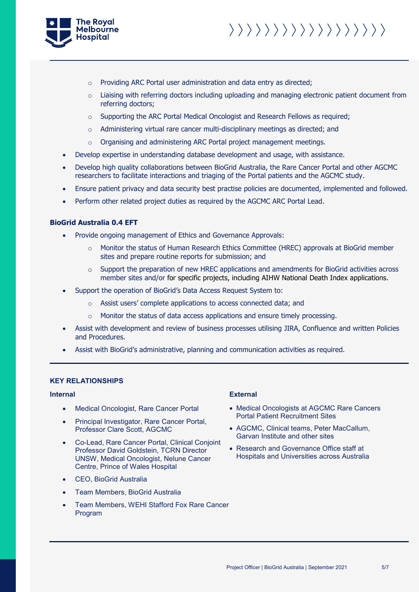



- o Providing ARC Portal user administration and data entry as directed;
- $\circ$  Liaising with referring doctors including uploading and managing electronic patient document from referring doctors;
- o Supporting the ARC Portal Medical Oncologist and Research Fellows as required;
- $\circ$  Administering virtual rare cancer multi-disciplinary meetings as directed; and
- o Organising and administering ARC Portal project management meetings.
- Develop expertise in understanding database development and usage, with assistance.
- Develop high quality collaborations between BioGrid Australia, the Rare Cancer Portal and other AGCMC researchers to facilitate interactions and triaging of the Portal patients and the AGCMC study.
- Ensure patient privacy and data security best practise policies are documented, implemented and followed.
- Perform other related project duties as required by the AGCMC ARC Portal Lead.

#### **BioGrid Australia 0.4 EFT**

- Provide ongoing management of Ethics and Governance Approvals:
	- $\circ$  Monitor the status of Human Research Ethics Committee (HREC) approvals at BioGrid member sites and prepare routine reports for submission; and
	- o Support the preparation of new HREC applications and amendments for BioGrid activities across member sites and/or for specific projects, including AIHW National Death Index applications.
- Support the operation of BioGrid's Data Access Request System to:
	- o Assist users' complete applications to access connected data; and
	- o Monitor the status of data access applications and ensure timely processing.
- Assist with development and review of business processes utilising JIRA, Confluence and written Policies and Procedures.
- Assist with BioGrid's administrative, planning and communication activities as required.

#### **KEY RELATIONSHIPS**

- Medical Oncologist, Rare Cancer Portal
- Principal Investigator, Rare Cancer Portal, Professor Clare Scott, AGCMC
- Co-Lead, Rare Cancer Portal, Clinical Conjoint Professor David Goldstein, TCRN Director UNSW, Medical Oncologist, Nelune Cancer Centre, Prince of Wales Hospital
- CEO, BioGrid Australia
- Team Members, BioGrid Australia
- Team Members, WEHI Stafford Fox Rare Cancer Program

#### **Internal External**

- Medical Oncologists at AGCMC Rare Cancers Portal Patient Recruitment Sites
- AGCMC, Clinical teams, Peter MacCallum, Garvan Institute and other sites
- Research and Governance Office staff at Hospitals and Universities across Australia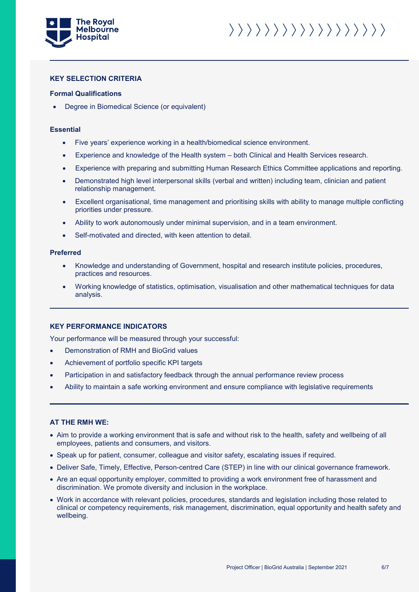

### 

#### **KEY SELECTION CRITERIA**

#### **Formal Qualifications**

• Degree in Biomedical Science (or equivalent)

#### **Essential**

- Five years' experience working in a health/biomedical science environment.
- Experience and knowledge of the Health system both Clinical and Health Services research.
- Experience with preparing and submitting Human Research Ethics Committee applications and reporting.
- Demonstrated high level interpersonal skills (verbal and written) including team, clinician and patient relationship management.
- Excellent organisational, time management and prioritising skills with ability to manage multiple conflicting priorities under pressure.
- Ability to work autonomously under minimal supervision, and in a team environment.
- Self-motivated and directed, with keen attention to detail.

#### **Preferred**

- Knowledge and understanding of Government, hospital and research institute policies, procedures, practices and resources.
- Working knowledge of statistics, optimisation, visualisation and other mathematical techniques for data analysis.

#### **KEY PERFORMANCE INDICATORS**

Your performance will be measured through your successful:

- Demonstration of RMH and BioGrid values
- Achievement of portfolio specific KPI targets
- Participation in and satisfactory feedback through the annual performance review process
- Ability to maintain a safe working environment and ensure compliance with legislative requirements

#### **AT THE RMH WE:**

- Aim to provide a working environment that is safe and without risk to the health, safety and wellbeing of all employees, patients and consumers, and visitors.
- Speak up for patient, consumer, colleague and visitor safety, escalating issues if required.
- Deliver Safe, Timely, Effective, Person-centred Care (STEP) in line with our clinical governance framework.
- Are an equal opportunity employer, committed to providing a work environment free of harassment and discrimination. We promote diversity and inclusion in the workplace.
- Work in accordance with relevant policies, procedures, standards and legislation including those related to clinical or competency requirements, risk management, discrimination, equal opportunity and health safety and wellbeing.